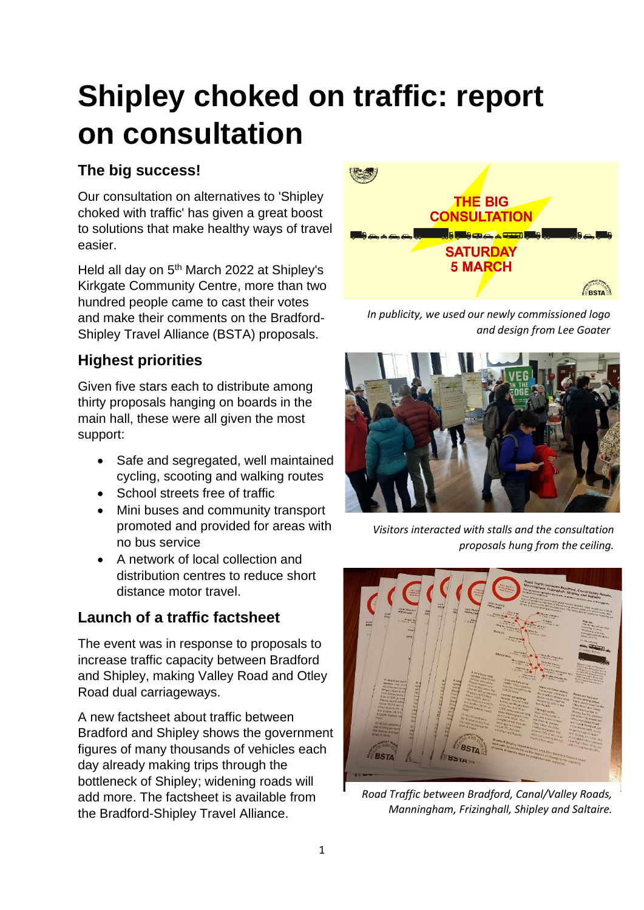# **Shipley choked on traffic: report on consultation**

# **The big success!**

Our consultation on alternatives to 'Shipley choked with traffic' has given a great boost to solutions that make healthy ways of travel easier.

Held all day on 5<sup>th</sup> March 2022 at Shipley's Kirkgate Community Centre, more than two hundred people came to cast their votes and make their comments on the Bradford-Shipley Travel Alliance (BSTA) proposals.

## **Highest priorities**

Given five stars each to distribute among thirty proposals hanging on boards in the main hall, these were all given the most support:

- Safe and segregated, well maintained cycling, scooting and walking routes
- School streets free of traffic
- Mini buses and community transport promoted and provided for areas with no bus service
- A network of local collection and distribution centres to reduce short distance motor travel.

## **Launch of a traffic factsheet**

The event was in response to proposals to increase traffic capacity between Bradford and Shipley, making Valley Road and Otley Road dual carriageways.

A new factsheet about traffic between Bradford and Shipley shows the government figures of many thousands of vehicles each day already making trips through the bottleneck of Shipley; widening roads will add more. The factsheet is available from the Bradford-Shipley Travel Alliance.



*In publicity, we used our newly commissioned logo and design from Lee Goater*



*Visitors interacted with stalls and the consultation proposals hung from the ceiling.*



*Road Traffic between Bradford, Canal/Valley Roads, Manningham, Frizinghall, Shipley and Saltaire.*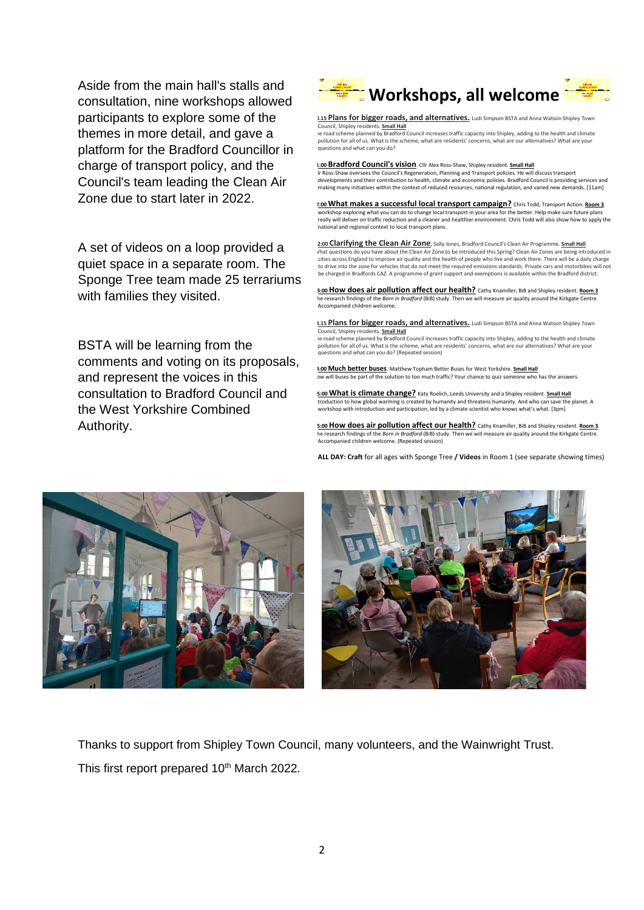Aside from the main hall's stalls and consultation, nine workshops allowed participants to explore some of the themes in more detail, and gave a platform for the Bradford Councillor in charge of transport policy, and the Council's team leading the Clean Air Zone due to start later in 2022.

A set of videos on a loop provided a quiet space in a separate room. The Sponge Tree team made 25 terrariums with families they visited.

BSTA will be learning from the comments and voting on its proposals, and represent the voices in this consultation to Bradford Council and the West Yorkshire Combined Authority.



#### 1.15 Plans for bigger roads, and alternatives. Ludi Simpson BSTA and Anna Watson Shipley Town

Council, Shipley residents. **Small Hall** The road scheme planned by Bradford Council increases traffic capacity into Shipley, adding to the health and climate pollution for all of us. What is the scheme, what are residents' concerns, what are our alternatives? What are your ponditions and what can you do?

#### **11:00 Bradford Council's vision**. Cllr Alex Ross-Shaw, Shipley resident. **Small Hall**

Ir Ross-Shaw oversees the Council's Regeneration, Planning and Transport policies. He will discuss transport developments and their contribution to health, climate and economic policies. Bradford Council is providing services and<br>making many initiatives within the context of reduced resources, national regulation, and varied new making many initiatives within the context of reduced resources, national regulation, and varied new demands. [11]

**12:00 What makes a successful local transport campaign?** Chris Todd, Transport Action. **Room 3** workshop exploring what you can do to change local transport in your area for the better. Help make sure future plans really will deliver on traffic reduction and a cleaner and healthier environment. Chris Todd will also show how to apply the national and regional context to local transport plans.

2:00 Clarifying the Clean Air Zone, Sally Jones, Bradford Council's Clean Air Programme. Small Hall<br>That questions do you have about the Clean Air Zone to be introduced this Spring? Clean Air Zones are being introduced in cities across England to improve air quality and the health of people who live and work there. There will be a daily charge to drive into the zone for vehicles that do not meet the required emissions standards. Private cars and motorbikes will not be charged in Bradfords CAZ. A programme of grant support and exemptions is available within the Bradford district.

**13:00 How does air pollution affect our health?** Cathy Knamiller, BiB and Shipley resident. **Room 3** The research findings of the *Born in Bradford* (BiB) study. Then we will measure air quality around the Kirkgate Centre. Accompanied children welcome.

1.15 **Plans for bigger roads, and alternatives.** Ludi Simpson BSTA and Anna Watson Shipley Town Council, Shipley residents. **Small Hall**

The road scheme planned by Bradford Council increases traffic capacity into Shipley, adding to the health and climate pollution for all of us. What is the scheme, what are residents' concerns, what are our alternatives? What are your questions and what can you do? (Repeated session)

**1:00 Much better buses**. Matthew Topham Better Buses for West Yorkshire. **Small Hall** will buses be part of the solution to too much traffic? Your chance to quiz someone who has the answers.

**15:00 What is climate change?** Katy Roelich, Leeds University and a Shipley resident. **Small Hall** Introduction to how global warming is created by humanity and threatens humanity. And who can save the planet. A workshop with introduction and participation, led by a climate scientist who knows what's what. [3pm]

**15:00 How does air pollution affect our health?** Cathy Knamiller, BiB and Shipley resident. **Room 3** The research findings of the *Born in Bradford* (BiB) study. Then we will measure air quality around the Kirkgate Centre. Accompanied children welcome. (Repeated session)

**ALL DAY: Craft** for all ages with Sponge Tree **/ Videos** in Room 1 (see separate showing times)





Thanks to support from Shipley Town Council, many volunteers, and the Wainwright Trust. This first report prepared 10<sup>th</sup> March 2022.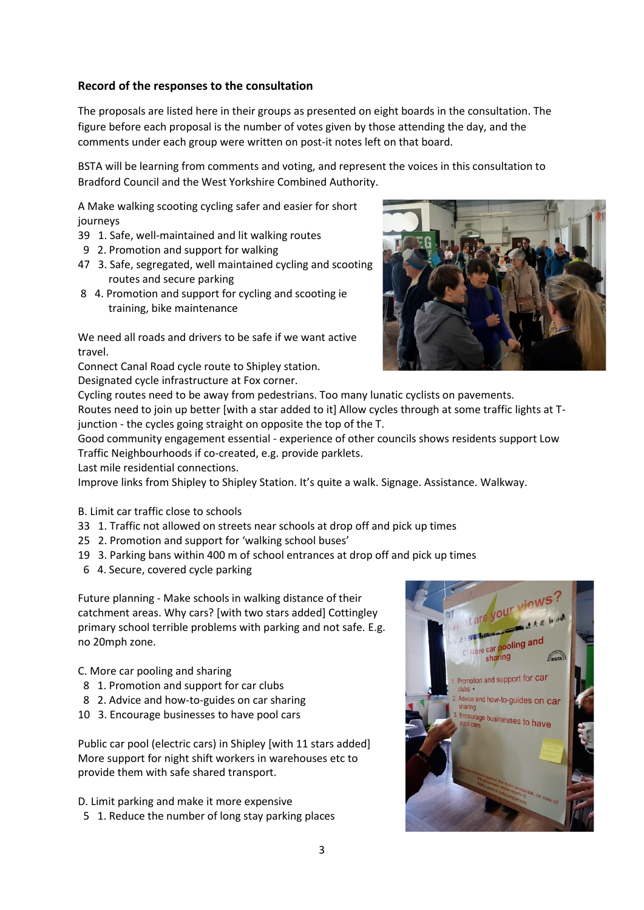#### **Record of the responses to the consultation**

The proposals are listed here in their groups as presented on eight boards in the consultation. The figure before each proposal is the number of votes given by those attending the day, and the comments under each group were written on post-it notes left on that board.

BSTA will be learning from comments and voting, and represent the voices in this consultation to Bradford Council and the West Yorkshire Combined Authority.

A Make walking scooting cycling safer and easier for short journeys

- 39 1. Safe, well-maintained and lit walking routes
- 9 2. Promotion and support for walking
- 47 3. Safe, segregated, well maintained cycling and scooting routes and secure parking
- 8 4. Promotion and support for cycling and scooting ie training, bike maintenance

We need all roads and drivers to be safe if we want active travel.

Connect Canal Road cycle route to Shipley station.

Designated cycle infrastructure at Fox corner.

Cycling routes need to be away from pedestrians. Too many lunatic cyclists on pavements.

Routes need to join up better [with a star added to it] Allow cycles through at some traffic lights at Tjunction - the cycles going straight on opposite the top of the T.

Good community engagement essential - experience of other councils shows residents support Low Traffic Neighbourhoods if co-created, e.g. provide parklets.

Last mile residential connections.

Improve links from Shipley to Shipley Station. It's quite a walk. Signage. Assistance. Walkway.

B. Limit car traffic close to schools

- 33 1. Traffic not allowed on streets near schools at drop off and pick up times
- 25 2. Promotion and support for 'walking school buses'
- 19 3. Parking bans within 400 m of school entrances at drop off and pick up times
- 6 4. Secure, covered cycle parking

Future planning - Make schools in walking distance of their catchment areas. Why cars? [with two stars added] Cottingley primary school terrible problems with parking and not safe. E.g. no 20mph zone.

C. More car pooling and sharing

- 8 1. Promotion and support for car clubs
- 8 2. Advice and how-to-guides on car sharing
- 10 3. Encourage businesses to have pool cars

Public car pool (electric cars) in Shipley [with 11 stars added] More support for night shift workers in warehouses etc to provide them with safe shared transport.

D. Limit parking and make it more expensive

5 1. Reduce the number of long stay parking places



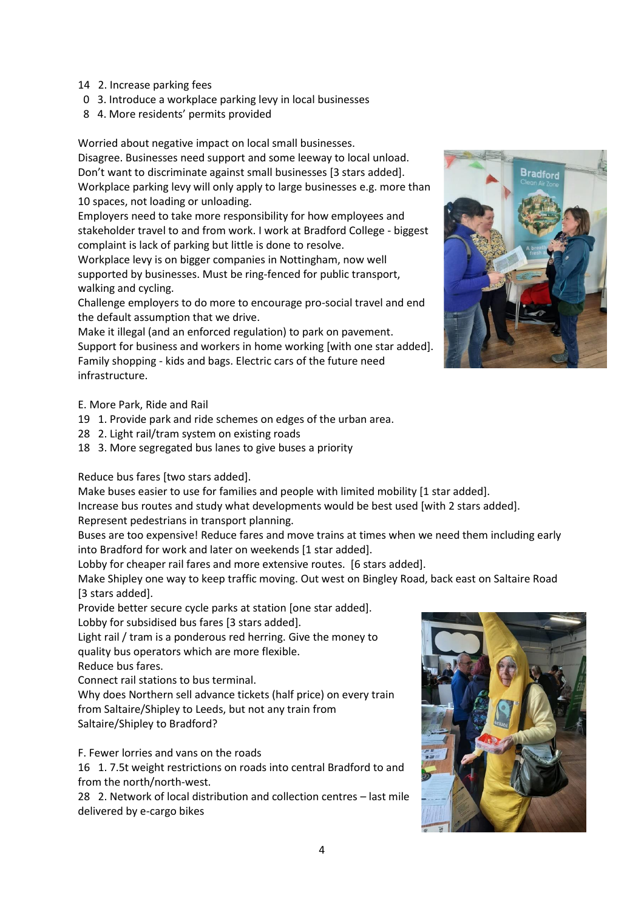- 14 2. Increase parking fees
- 0 3. Introduce a workplace parking levy in local businesses
- 8 4. More residents' permits provided

Worried about negative impact on local small businesses.

Disagree. Businesses need support and some leeway to local unload. Don't want to discriminate against small businesses [3 stars added]. Workplace parking levy will only apply to large businesses e.g. more than 10 spaces, not loading or unloading.

Employers need to take more responsibility for how employees and stakeholder travel to and from work. I work at Bradford College - biggest complaint is lack of parking but little is done to resolve.

Workplace levy is on bigger companies in Nottingham, now well supported by businesses. Must be ring-fenced for public transport, walking and cycling.

Challenge employers to do more to encourage pro-social travel and end the default assumption that we drive.

Make it illegal (and an enforced regulation) to park on pavement. Support for business and workers in home working [with one star added]. Family shopping - kids and bags. Electric cars of the future need infrastructure.

E. More Park, Ride and Rail

- 19 1. Provide park and ride schemes on edges of the urban area.
- 28 2. Light rail/tram system on existing roads
- 18 3. More segregated bus lanes to give buses a priority

Reduce bus fares [two stars added].

Make buses easier to use for families and people with limited mobility [1 star added].

Increase bus routes and study what developments would be best used [with 2 stars added].

Represent pedestrians in transport planning.

Buses are too expensive! Reduce fares and move trains at times when we need them including early into Bradford for work and later on weekends [1 star added].

Lobby for cheaper rail fares and more extensive routes. [6 stars added].

Make Shipley one way to keep traffic moving. Out west on Bingley Road, back east on Saltaire Road [3 stars added].

Provide better secure cycle parks at station [one star added]. Lobby for subsidised bus fares [3 stars added].

Light rail / tram is a ponderous red herring. Give the money to quality bus operators which are more flexible.

Reduce bus fares.

Connect rail stations to bus terminal.

Why does Northern sell advance tickets (half price) on every train from Saltaire/Shipley to Leeds, but not any train from Saltaire/Shipley to Bradford?

F. Fewer lorries and vans on the roads

16 1. 7.5t weight restrictions on roads into central Bradford to and from the north/north-west.

28 2. Network of local distribution and collection centres – last mile delivered by e-cargo bikes